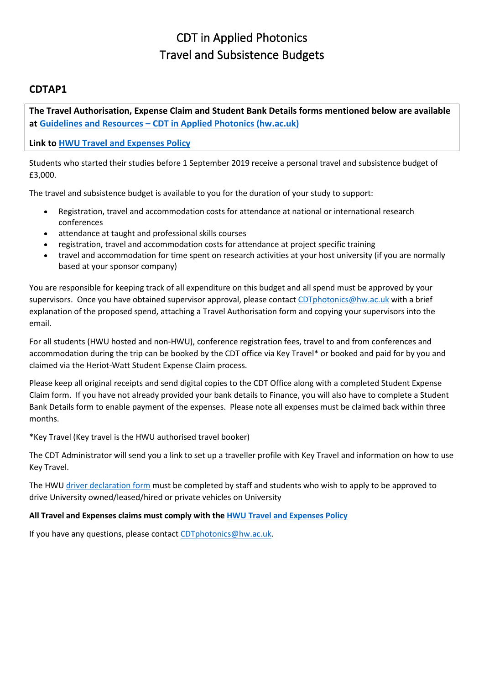# CDT in Applied Photonics Travel and Subsistence Budgets

# **CDTAP1**

**The Travel Authorisation, Expense Claim and Student Bank Details forms mentioned below are available at Guidelines and Resources – [CDT in Applied Photonics \(hw.ac.uk\)](https://cdtphotonics.hw.ac.uk/guidelinesandresources/)**

**Link to [HWU Travel and Expenses Policy](https://www.hw.ac.uk/documents/travel-expenses-policy.pdf)**

Students who started their studies before 1 September 2019 receive a personal travel and subsistence budget of £3,000.

The travel and subsistence budget is available to you for the duration of your study to support:

- Registration, travel and accommodation costs for attendance at national or international research conferences
- attendance at taught and professional skills courses
- registration, travel and accommodation costs for attendance at project specific training
- travel and accommodation for time spent on research activities at your host university (if you are normally based at your sponsor company)

You are responsible for keeping track of all expenditure on this budget and all spend must be approved by your supervisors. Once you have obtained supervisor approval, please contact [CDTphotonics@hw.ac.uk](mailto:CDTphotonics@hw.ac.uk) with a brief explanation of the proposed spend, attaching a Travel Authorisation form and copying your supervisors into the email.

For all students (HWU hosted and non-HWU), conference registration fees, travel to and from conferences and accommodation during the trip can be booked by the CDT office via Key Travel\* or booked and paid for by you and claimed via the Heriot-Watt Student Expense Claim process.

Please keep all original receipts and send digital copies to the CDT Office along with a completed Student Expense Claim form. If you have not already provided your bank details to Finance, you will also have to complete a Student Bank Details form to enable payment of the expenses. Please note all expenses must be claimed back within three months.

\*Key Travel (Key travel is the HWU authorised travel booker)

The CDT Administrator will send you a link to set up a traveller profile with Key Travel and information on how to use Key Travel.

The HWU [driver declaration form](https://heriotwatt.info-exchange.com/DriverInfo) must be completed by staff and students who wish to apply to be approved to drive University owned/leased/hired or private vehicles on University

# **All Travel and Expenses claims must comply with the [HWU Travel and Expenses Policy](https://www.hw.ac.uk/documents/travel-expenses-policy.pdf)**

If you have any questions, please contact [CDTphotonics@hw.ac.uk.](mailto:CDTphotonics@hw.ac.uk)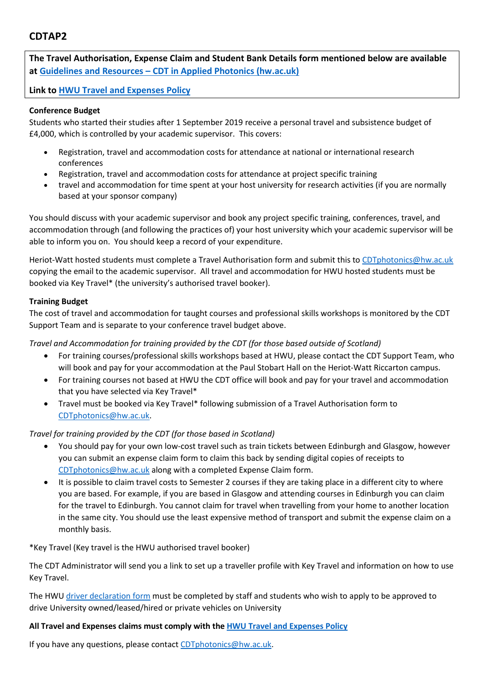# **CDTAP2**

**The Travel Authorisation, Expense Claim and Student Bank Details form mentioned below are available at Guidelines and Resources – [CDT in Applied Photonics \(hw.ac.uk\)](https://cdtphotonics.hw.ac.uk/guidelinesandresources/)**

**Link to [HWU Travel and Expenses Policy](https://www.hw.ac.uk/documents/travel-expenses-policy.pdf)**

### **Conference Budget**

Students who started their studies after 1 September 2019 receive a personal travel and subsistence budget of £4,000, which is controlled by your academic supervisor. This covers:

- Registration, travel and accommodation costs for attendance at national or international research conferences
- Registration, travel and accommodation costs for attendance at project specific training
- travel and accommodation for time spent at your host university for research activities (if you are normally based at your sponsor company)

You should discuss with your academic supervisor and book any project specific training, conferences, travel, and accommodation through (and following the practices of) your host university which your academic supervisor will be able to inform you on. You should keep a record of your expenditure.

Heriot-Watt hosted students must complete a Travel Authorisation form and submit this t[o CDTphotonics@hw.ac.uk](mailto:CDTphotonics@hw.ac.uk) copying the email to the academic supervisor. All travel and accommodation for HWU hosted students must be booked via Key Travel\* (the university's authorised travel booker).

# **Training Budget**

The cost of travel and accommodation for taught courses and professional skills workshops is monitored by the CDT Support Team and is separate to your conference travel budget above.

*Travel and Accommodation for training provided by the CDT (for those based outside of Scotland)*

- For training courses/professional skills workshops based at HWU, please contact the CDT Support Team, who will book and pay for your accommodation at the Paul Stobart Hall on the Heriot-Watt Riccarton campus.
- For training courses not based at HWU the CDT office will book and pay for your travel and accommodation that you have selected via Key Travel\*
- Travel must be booked via Key Travel\* following submission of a Travel Authorisation form to CDTphotonics@hw.ac.uk.

# *Travel for training provided by the CDT (for those based in Scotland)*

- You should pay for your own low-cost travel such as train tickets between Edinburgh and Glasgow, however you can submit an expense claim form to claim this back by sending digital copies of receipts to [CDTphotonics@hw.ac.uk](mailto:CDTphotonics@hw.ac.uk) along with a completed Expense Claim form.
- It is possible to claim travel costs to Semester 2 courses if they are taking place in a different city to where you are based. For example, if you are based in Glasgow and attending courses in Edinburgh you can claim for the travel to Edinburgh. You cannot claim for travel when travelling from your home to another location in the same city. You should use the least expensive method of transport and submit the expense claim on a monthly basis.

\*Key Travel (Key travel is the HWU authorised travel booker)

The CDT Administrator will send you a link to set up a traveller profile with Key Travel and information on how to use Key Travel.

The HWU [driver declaration form](https://heriotwatt.info-exchange.com/DriverInfo) must be completed by staff and students who wish to apply to be approved to drive University owned/leased/hired or private vehicles on University

# **All Travel and Expenses claims must comply with the [HWU Travel and Expenses Policy](https://www.hw.ac.uk/documents/travel-expenses-policy.pdf)**

If you have any questions, please contact [CDTphotonics@hw.ac.uk.](mailto:CDTphotonics@hw.ac.uk)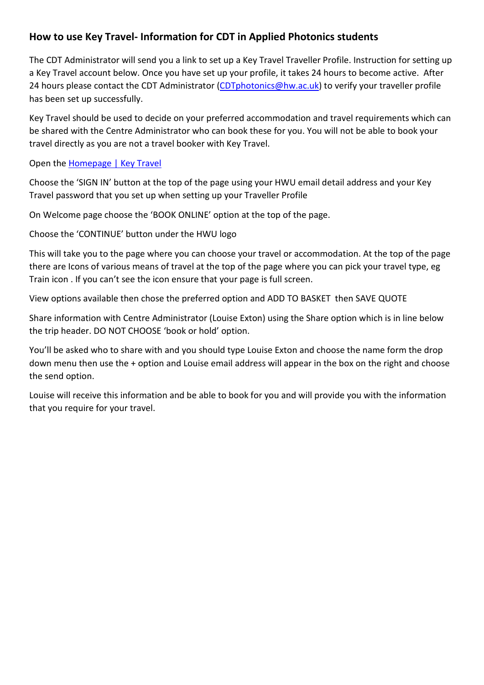# **How to use Key Travel- Information for CDT in Applied Photonics students**

The CDT Administrator will send you a link to set up a Key Travel Traveller Profile. Instruction for setting up a Key Travel account below. Once you have set up your profile, it takes 24 hours to become active. After 24 hours please contact the CDT Administrator [\(CDTphotonics@hw.ac.uk\)](mailto:CDTphotonics@hw.ac.uk) to verify your traveller profile has been set up successfully.

Key Travel should be used to decide on your preferred accommodation and travel requirements which can be shared with the Centre Administrator who can book these for you. You will not be able to book your travel directly as you are not a travel booker with Key Travel.

Open the [Homepage | Key Travel](https://www.keytravel.com/)

Choose the 'SIGN IN' button at the top of the page using your HWU email detail address and your Key Travel password that you set up when setting up your Traveller Profile

On Welcome page choose the 'BOOK ONLINE' option at the top of the page.

Choose the 'CONTINUE' button under the HWU logo

This will take you to the page where you can choose your travel or accommodation. At the top of the page there are Icons of various means of travel at the top of the page where you can pick your travel type, eg Train icon . If you can't see the icon ensure that your page is full screen.

View options available then chose the preferred option and ADD TO BASKET then SAVE QUOTE

Share information with Centre Administrator (Louise Exton) using the Share option which is in line below the trip header. DO NOT CHOOSE 'book or hold' option.

You'll be asked who to share with and you should type Louise Exton and choose the name form the drop down menu then use the + option and Louise email address will appear in the box on the right and choose the send option.

Louise will receive this information and be able to book for you and will provide you with the information that you require for your travel.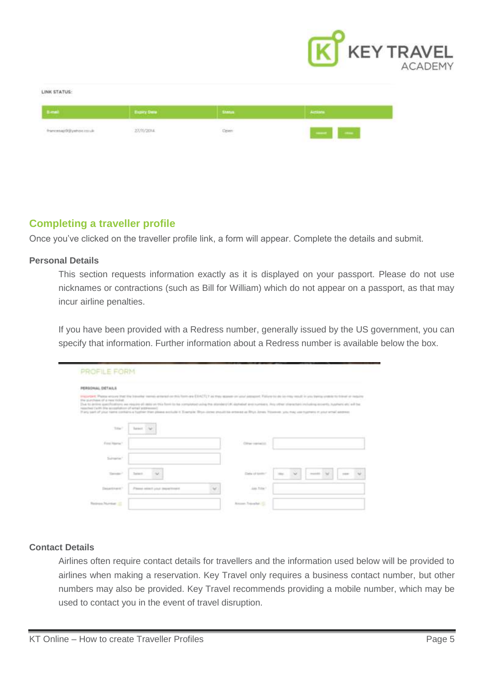

#### LINK STATUS:

|              | Expert<br><b>Contract of the Contract of the Contract of the Contract of the Contract of the Contract of the Contract of the Contract of the Contract of the Contract of the Contract of the Contract of the Contract of the Contract of t</b> | <b>Contract</b> |                       |  |  |  |
|--------------|------------------------------------------------------------------------------------------------------------------------------------------------------------------------------------------------------------------------------------------------|-----------------|-----------------------|--|--|--|
| ジャニーのキリココココー | <b>CONTRACTOR</b><br>and a few property<br>and the state of the control and                                                                                                                                                                    | Open            | <b>TANK BOOK</b><br>٠ |  |  |  |

# **Completing a traveller profile**

Once you"ve clicked on the traveller profile link, a form will appear. Complete the details and submit.

### **Personal Details**

This section requests information exactly as it is displayed on your passport. Please do not use nicknames or contractions (such as Bill for William) which do not appear on a passport, as that may incur airline penalties.

If you have been provided with a Redress number, generally issued by the US government, you can specify that information. Further information about a Redress number is available below the box.

| PERSONAL DETAILS                                                                                  |                                                                                                                                                                                                                                                                                                                                                                                                                                                                                                                                                    |                    |                               |
|---------------------------------------------------------------------------------------------------|----------------------------------------------------------------------------------------------------------------------------------------------------------------------------------------------------------------------------------------------------------------------------------------------------------------------------------------------------------------------------------------------------------------------------------------------------------------------------------------------------------------------------------------------------|--------------------|-------------------------------|
| the purchase of a new tickel:<br>Description Variety for receiving and child children in the con- | imported. Please secure that the boundar names arrange on this factor as {EACTLY as they appear on your seasons of about the bo-reg result in you being unstablished an require<br>Due to arrive specifications are require all debt on this form to be completed using the attended (Al algorished are numbers). Any other shares including eccents, husband and was<br>If any said of your name contains a hugher than please exclude it. Exemple: Bhyo come providing entered as Rhys Johns Yousever, you may use mummer is your whall assesses |                    |                               |
| Total?                                                                                            | Toronto<br><b>COMP</b>                                                                                                                                                                                                                                                                                                                                                                                                                                                                                                                             |                    |                               |
| First Name?                                                                                       |                                                                                                                                                                                                                                                                                                                                                                                                                                                                                                                                                    | Citizen conclusion |                               |
| Similar                                                                                           |                                                                                                                                                                                                                                                                                                                                                                                                                                                                                                                                                    |                    |                               |
|                                                                                                   | Talent:<br>v                                                                                                                                                                                                                                                                                                                                                                                                                                                                                                                                       | Direction          | U<br>$\sim$<br>market. C<br>w |
| Tomaco <sup>2</sup>                                                                               |                                                                                                                                                                                                                                                                                                                                                                                                                                                                                                                                                    |                    |                               |
| and the court of the party<br>Daniel Antonio                                                      | Please select your department<br>u                                                                                                                                                                                                                                                                                                                                                                                                                                                                                                                 | an tau'r           |                               |

# **Contact Details**

Airlines often require contact details for travellers and the information used below will be provided to airlines when making a reservation. Key Travel only requires a business contact number, but other numbers may also be provided. Key Travel recommends providing a mobile number, which may be used to contact you in the event of travel disruption.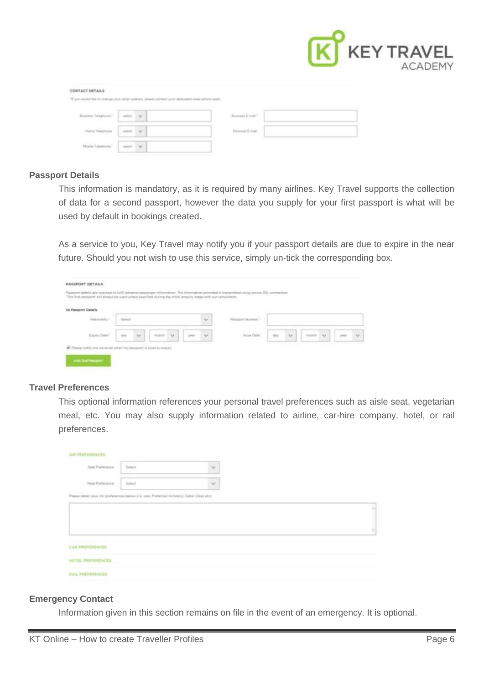

| CONTACT DETAILS                                                                       |                               |                                                                                                                  |  |
|---------------------------------------------------------------------------------------|-------------------------------|------------------------------------------------------------------------------------------------------------------|--|
|                                                                                       |                               |                                                                                                                  |  |
|                                                                                       |                               |                                                                                                                  |  |
| <b>Service Controller</b><br>the company of the company of                            | <b>STATE OF ALL</b><br>$\sim$ | the first statement of the control of the sea of<br>the company of the company of the<br><b>Contract Service</b> |  |
| <b>COLLEGE</b><br>and the control of the control of<br><b>Service Company Control</b> | $\sim$                        | <b>RAPPLE RE</b>                                                                                                 |  |
| the state of the state of the<br>the party of the County of the American              |                               |                                                                                                                  |  |

# **Passport Details**

This information is mandatory, as it is required by many airlines. Key Travel supports the collection of data for a second passport, however the data you supply for your first passport is what will be used by default in bookings created.

As a service to you, Key Travel may notify you if your passport details are due to expire in the near future. Should you not wish to use this service, simply un-tick the corresponding box.

| <b>Tel Pessport Deteils</b> |        |   |   |  |                        |                    |                          |  |  |
|-----------------------------|--------|---|---|--|------------------------|--------------------|--------------------------|--|--|
| Network by 1                | $\sim$ |   |   |  | <b>Resident Number</b> |                    |                          |  |  |
|                             |        | w | υ |  |                        | <b>WALLE CAREE</b> | $\overline{\phantom{a}}$ |  |  |

# **Travel Preferences**

This optional information references your personal travel preferences such as aisle seat, vegetarian meal, etc. You may also supply information related to airline, car-hire company, hotel, or rail preferences.

| AIR PREFERENCES                                                                             |           |   |  |
|---------------------------------------------------------------------------------------------|-----------|---|--|
| Sept Proference                                                                             | "Sales it | v |  |
| <b>Plast Prehimienze</b>                                                                    | Select    | × |  |
| Please tistuit your Air professories better 2 ar size. Preferred Anheil(3), Cater Class and |           |   |  |
|                                                                                             |           |   |  |
|                                                                                             |           |   |  |
|                                                                                             |           |   |  |
| <b>CAR PROFESSINGES</b>                                                                     |           |   |  |
| HOTEL PROTERENCES                                                                           |           |   |  |
| <b>RAIL PROFESSIONS</b>                                                                     |           |   |  |

# **Emergency Contact**

Information given in this section remains on file in the event of an emergency. It is optional.